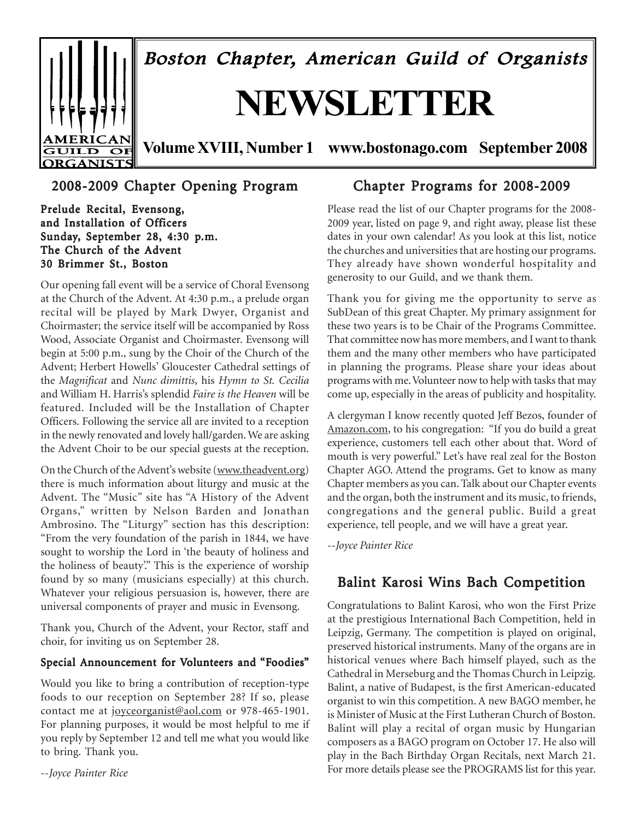

# 2008-2009 Chapter Opening Program

Prelude Recital, Evensong, and Installation of Officers Sunday, September 28, 4:30 p.m. The Church of the Advent 30 Brimmer St., Boston

Our opening fall event will be a service of Choral Evensong at the Church of the Advent. At 4:30 p.m., a prelude organ recital will be played by Mark Dwyer, Organist and Choirmaster; the service itself will be accompanied by Ross Wood, Associate Organist and Choirmaster. Evensong will begin at 5:00 p.m., sung by the Choir of the Church of the Advent; Herbert Howells' Gloucester Cathedral settings of the *Magnificat* and *Nunc dimittis*, his *Hymn to St. Cecilia* and William H. Harris's splendid *Faire is the Heaven* will be featured. Included will be the Installation of Chapter Officers. Following the service all are invited to a reception in the newly renovated and lovely hall/garden. We are asking the Advent Choir to be our special guests at the reception.

On the Church of the Advent's website (www.theadvent.org) there is much information about liturgy and music at the Advent. The "Music" site has "A History of the Advent Organs," written by Nelson Barden and Jonathan Ambrosino. The "Liturgy" section has this description: "From the very foundation of the parish in 1844, we have sought to worship the Lord in 'the beauty of holiness and the holiness of beauty'." This is the experience of worship found by so many (musicians especially) at this church. Whatever your religious persuasion is, however, there are universal components of prayer and music in Evensong.

Thank you, Church of the Advent, your Rector, staff and choir, for inviting us on September 28.

#### Special Announcement for Volunteers and "Foodies"

Would you like to bring a contribution of reception-type foods to our reception on September 28? If so, please contact me at joyceorganist@aol.com or 978-465-1901. For planning purposes, it would be most helpful to me if you reply by September 12 and tell me what you would like to bring. Thank you.

--*Joyce Painter Rice*

# Chapter Programs for 2008-2009

Please read the list of our Chapter programs for the 2008- 2009 year, listed on page 9, and right away, please list these dates in your own calendar! As you look at this list, notice the churches and universities that are hosting our programs. They already have shown wonderful hospitality and generosity to our Guild, and we thank them.

Thank you for giving me the opportunity to serve as SubDean of this great Chapter. My primary assignment for these two years is to be Chair of the Programs Committee. That committee now has more members, and I want to thank them and the many other members who have participated in planning the programs. Please share your ideas about programs with me. Volunteer now to help with tasks that may come up, especially in the areas of publicity and hospitality.

A clergyman I know recently quoted Jeff Bezos, founder of Amazon.com, to his congregation: "If you do build a great experience, customers tell each other about that. Word of mouth is very powerful." Let's have real zeal for the Boston Chapter AGO. Attend the programs. Get to know as many Chapter members as you can. Talk about our Chapter events and the organ, both the instrument and its music, to friends, congregations and the general public. Build a great experience, tell people, and we will have a great year.

*--Joyce Painter Rice*

# Balint Karosi Wins Bach Competition

Congratulations to Balint Karosi, who won the First Prize at the prestigious International Bach Competition, held in Leipzig, Germany. The competition is played on original, preserved historical instruments. Many of the organs are in historical venues where Bach himself played, such as the Cathedral in Merseburg and the Thomas Church in Leipzig. Balint, a native of Budapest, is the first American-educated organist to win this competition. A new BAGO member, he is Minister of Music at the First Lutheran Church of Boston. Balint will play a recital of organ music by Hungarian composers as a BAGO program on October 17. He also will play in the Bach Birthday Organ Recitals, next March 21. For more details please see the PROGRAMS list for this year.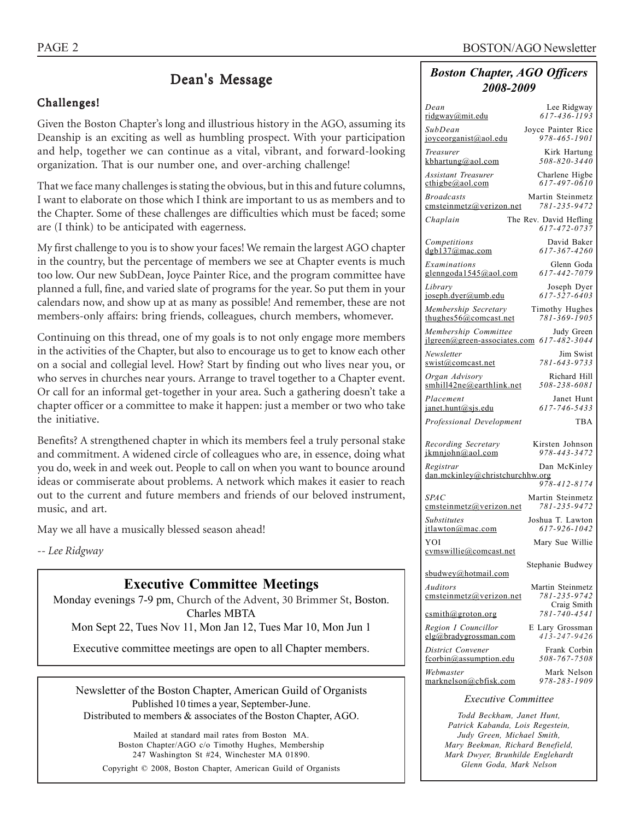# Dean's Message

### Challenges!

Given the Boston Chapter's long and illustrious history in the AGO, assuming its Deanship is an exciting as well as humbling prospect. With your participation and help, together we can continue as a vital, vibrant, and forward-looking organization. That is our number one, and over-arching challenge!

That we face many challenges is stating the obvious, but in this and future columns, I want to elaborate on those which I think are important to us as members and to the Chapter. Some of these challenges are difficulties which must be faced; some are (I think) to be anticipated with eagerness.

My first challenge to you is to show your faces! We remain the largest AGO chapter in the country, but the percentage of members we see at Chapter events is much too low. Our new SubDean, Joyce Painter Rice, and the program committee have planned a full, fine, and varied slate of programs for the year. So put them in your calendars now, and show up at as many as possible! And remember, these are not members-only affairs: bring friends, colleagues, church members, whomever.

Continuing on this thread, one of my goals is to not only engage more members in the activities of the Chapter, but also to encourage us to get to know each other on a social and collegial level. How? Start by finding out who lives near you, or who serves in churches near yours. Arrange to travel together to a Chapter event. Or call for an informal get-together in your area. Such a gathering doesn't take a chapter officer or a committee to make it happen: just a member or two who take the initiative.

Benefits? A strengthened chapter in which its members feel a truly personal stake and commitment. A widened circle of colleagues who are, in essence, doing what you do, week in and week out. People to call on when you want to bounce around ideas or commiserate about problems. A network which makes it easier to reach out to the current and future members and friends of our beloved instrument, music, and art.

May we all have a musically blessed season ahead!

*-- Lee Ridgway*

# **Executive Committee Meetings**

Monday evenings 7-9 pm, Church of the Advent, 30 Brimmer St, Boston. Charles MBTA

Mon Sept 22, Tues Nov 11, Mon Jan 12, Tues Mar 10, Mon Jun 1

Executive committee meetings are open to all Chapter members.

Newsletter of the Boston Chapter, American Guild of Organists Published 10 times a year, September-June. Distributed to members & associates of the Boston Chapter, AGO.

Mailed at standard mail rates from Boston MA. Boston Chapter/AGO c/o Timothy Hughes, Membership 247 Washington St #24, Winchester MA 01890. Copyright © 2008, Boston Chapter, American Guild of Organists

#### *Boston Chapter, AGO Officers 2008-2009*

| Dean                                                                         | Lee Ridgway                            |
|------------------------------------------------------------------------------|----------------------------------------|
| ridgway@mit.edu                                                              | $617 - 436 - 1193$                     |
| SubDean                                                                      | Joyce Painter Rice                     |
| joyceorganist@aol.edu                                                        | 978-465-1901                           |
| Treasurer                                                                    | Kirk Hartung                           |
| kbhartung@aol.com                                                            | 508-820-3440                           |
| Assistant Treasurer                                                          | Charlene Higbe                         |
| cthigbe@aol.com                                                              | 617-497-0610                           |
| <b>Broadcasts</b>                                                            | Martin Steinmetz                       |
| emsteinmetz@verizon.net                                                      | 781-235-9472                           |
| Chaplain                                                                     | The Rev. David Hefling<br>617-472-0737 |
| Competitions                                                                 | David Baker                            |
| $d$ gb $137$ @mac.com                                                        | 617-367-4260                           |
| Examinations                                                                 | Glenn Goda                             |
| glenngoda1545@aol.com                                                        | 617-442-7079                           |
| Library                                                                      | Joseph Dyer                            |
| joseph.dyer@umb.edu                                                          | $617 - 527 - 6403$                     |
| Membership Secretary                                                         | <b>Timothy Hughes</b>                  |
| thughes $56@$ comcast.net                                                    | 781-369-1905                           |
| Membership Committee Judy Green<br>jlgreen@green-associates.com 617-482-3044 |                                        |
| Newsletter                                                                   | Jim Swist                              |
| swist@comcast.net                                                            | 781-643-9733                           |
| Organ Advisory                                                               | Richard Hill                           |
| smhill42ne@earthlink.net                                                     | 508-238-6081                           |
| Placement                                                                    | Janet Hunt                             |
| janet.hunt@sjs.edu                                                           | 617-746-5433                           |
| Professional Development                                                     | <b>TBA</b>                             |
| Recording Secretary                                                          | Kirsten Johnson                        |
| ikmniohn@aol.com                                                             | 978-443-3472                           |
| Registrar<br>dan.mckinley@christchurchhw.org                                 | Dan McKinley                           |
| <i>SPAC</i>                                                                  | 978-412-8174<br>Martin Steinmetz       |
| emsteinmetz@verizon.net                                                      | 781-235-9472                           |
| <b>Substitutes</b>                                                           | Joshua T. Lawton                       |
| itlawton@mac.com                                                             | 617-926-1042                           |
| YOI<br>cymswillie@comcast.net                                                | Mary Sue Willie                        |
| sbudwey@hotmail.com                                                          | Stephanie Budwey                       |
| Auditors                                                                     | Martin Steinmetz                       |
| emsteinmetz@verizon.net                                                      | 781-235-9742                           |
| csmith@groton.org                                                            | Craig Smith<br>781-740-4541            |
| Region I Councillor                                                          | E Lary Grossman                        |
| elg@bradygrossman.com                                                        | 413-247-9426                           |
| District Convener                                                            | Frank Corbin                           |
| fcorbin@assumption.edu                                                       | 508-767-7508                           |
| Webmaster                                                                    | Mark Nelson                            |
| marknelson@cbfisk.com                                                        | 978-283-1909                           |
| <b>Executive Committee</b>                                                   |                                        |

*Todd Beckham, Janet Hunt, Patrick Kabanda, Lois Regestein, Judy Green, Michael Smith, Mary Beekman, Richard Benefield, Mark Dwyer, Brunhilde Englehardt Glenn Goda, Mark Nelson*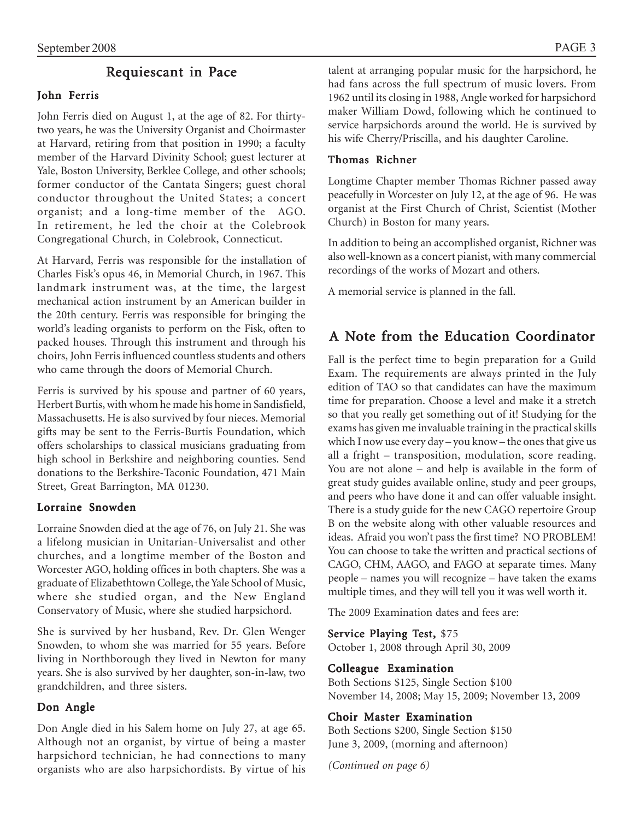# Requiescant in Pace

# John Ferris

John Ferris died on August 1, at the age of 82. For thirtytwo years, he was the University Organist and Choirmaster at Harvard, retiring from that position in 1990; a faculty member of the Harvard Divinity School; guest lecturer at Yale, Boston University, Berklee College, and other schools; former conductor of the Cantata Singers; guest choral conductor throughout the United States; a concert organist; and a long-time member of the AGO. In retirement, he led the choir at the Colebrook Congregational Church, in Colebrook, Connecticut.

At Harvard, Ferris was responsible for the installation of Charles Fisk's opus 46, in Memorial Church, in 1967. This landmark instrument was, at the time, the largest mechanical action instrument by an American builder in the 20th century. Ferris was responsible for bringing the world's leading organists to perform on the Fisk, often to packed houses. Through this instrument and through his choirs, John Ferris influenced countless students and others who came through the doors of Memorial Church.

Ferris is survived by his spouse and partner of 60 years, Herbert Burtis, with whom he made his home in Sandisfield, Massachusetts. He is also survived by four nieces. Memorial gifts may be sent to the Ferris-Burtis Foundation, which offers scholarships to classical musicians graduating from high school in Berkshire and neighboring counties. Send donations to the Berkshire-Taconic Foundation, 471 Main Street, Great Barrington, MA 01230.

### Lorraine Snowden

Lorraine Snowden died at the age of 76, on July 21. She was a lifelong musician in Unitarian-Universalist and other churches, and a longtime member of the Boston and Worcester AGO, holding offices in both chapters. She was a graduate of Elizabethtown College, the Yale School of Music, where she studied organ, and the New England Conservatory of Music, where she studied harpsichord.

She is survived by her husband, Rev. Dr. Glen Wenger Snowden, to whom she was married for 55 years. Before living in Northborough they lived in Newton for many years. She is also survived by her daughter, son-in-law, two grandchildren, and three sisters.

### Don Angle

Don Angle died in his Salem home on July 27, at age 65. Although not an organist, by virtue of being a master harpsichord technician, he had connections to many organists who are also harpsichordists. By virtue of his talent at arranging popular music for the harpsichord, he had fans across the full spectrum of music lovers. From 1962 until its closing in 1988, Angle worked for harpsichord maker William Dowd, following which he continued to service harpsichords around the world. He is survived by his wife Cherry/Priscilla, and his daughter Caroline.

#### Thomas Richner

Longtime Chapter member Thomas Richner passed away peacefully in Worcester on July 12, at the age of 96. He was organist at the First Church of Christ, Scientist (Mother Church) in Boston for many years.

In addition to being an accomplished organist, Richner was also well-known as a concert pianist, with many commercial recordings of the works of Mozart and others.

A memorial service is planned in the fall.

# A Note from the Education Coordinator

Fall is the perfect time to begin preparation for a Guild Exam. The requirements are always printed in the July edition of TAO so that candidates can have the maximum time for preparation. Choose a level and make it a stretch so that you really get something out of it! Studying for the exams has given me invaluable training in the practical skills which I now use every day – you know – the ones that give us all a fright – transposition, modulation, score reading. You are not alone – and help is available in the form of great study guides available online, study and peer groups, and peers who have done it and can offer valuable insight. There is a study guide for the new CAGO repertoire Group B on the website along with other valuable resources and ideas. Afraid you won't pass the first time? NO PROBLEM! You can choose to take the written and practical sections of CAGO, CHM, AAGO, and FAGO at separate times. Many people – names you will recognize – have taken the exams multiple times, and they will tell you it was well worth it.

The 2009 Examination dates and fees are:

#### Service Playing Test, \$75

October 1, 2008 through April 30, 2009

#### Colleague Examination

Both Sections \$125, Single Section \$100 November 14, 2008; May 15, 2009; November 13, 2009

### Choir Master Examination

Both Sections \$200, Single Section \$150 June 3, 2009, (morning and afternoon)

*(Continued on page 6)*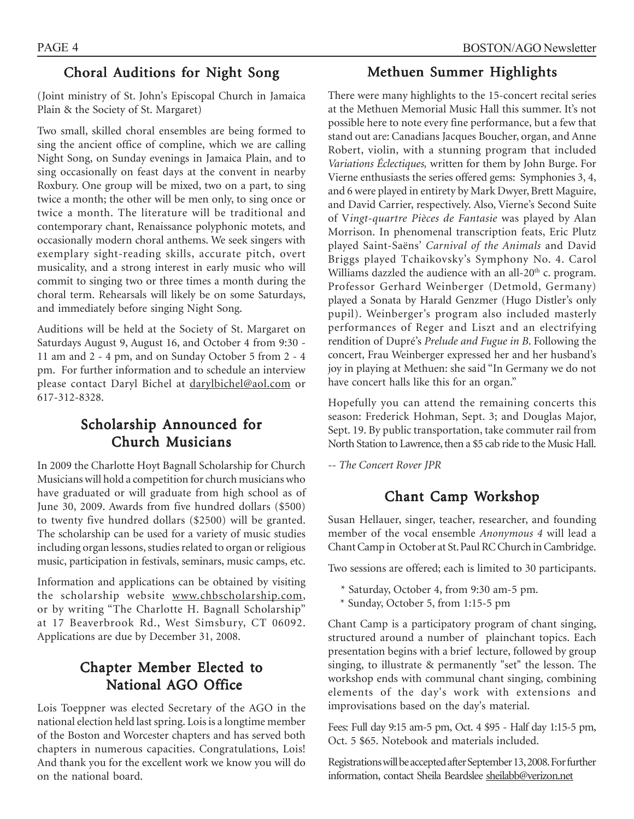# Choral Auditions for Night Song

(Joint ministry of St. John's Episcopal Church in Jamaica Plain & the Society of St. Margaret)

Two small, skilled choral ensembles are being formed to sing the ancient office of compline, which we are calling Night Song, on Sunday evenings in Jamaica Plain, and to sing occasionally on feast days at the convent in nearby Roxbury. One group will be mixed, two on a part, to sing twice a month; the other will be men only, to sing once or twice a month. The literature will be traditional and contemporary chant, Renaissance polyphonic motets, and occasionally modern choral anthems. We seek singers with exemplary sight-reading skills, accurate pitch, overt musicality, and a strong interest in early music who will commit to singing two or three times a month during the choral term. Rehearsals will likely be on some Saturdays, and immediately before singing Night Song.

Auditions will be held at the Society of St. Margaret on Saturdays August 9, August 16, and October 4 from 9:30 - 11 am and 2 - 4 pm, and on Sunday October 5 from 2 - 4 pm. For further information and to schedule an interview please contact Daryl Bichel at darylbichel@aol.com or 617-312-8328.

# Scholarship Announced for Church Musicians

In 2009 the Charlotte Hoyt Bagnall Scholarship for Church Musicians will hold a competition for church musicians who have graduated or will graduate from high school as of June 30, 2009. Awards from five hundred dollars (\$500) to twenty five hundred dollars (\$2500) will be granted. The scholarship can be used for a variety of music studies including organ lessons, studies related to organ or religious music, participation in festivals, seminars, music camps, etc.

Information and applications can be obtained by visiting the scholarship website www.chbscholarship.com, or by writing "The Charlotte H. Bagnall Scholarship" at 17 Beaverbrook Rd., West Simsbury, CT 06092. Applications are due by December 31, 2008.

# Chapter Member Elected to National AGO Office

Lois Toeppner was elected Secretary of the AGO in the national election held last spring. Lois is a longtime member of the Boston and Worcester chapters and has served both chapters in numerous capacities. Congratulations, Lois! And thank you for the excellent work we know you will do on the national board.

# PAGE 4 BOSTON/AGO Newsletter

# Methuen Summer Highlights

There were many highlights to the 15-concert recital series at the Methuen Memorial Music Hall this summer. It's not possible here to note every fine performance, but a few that stand out are: Canadians Jacques Boucher, organ, and Anne Robert, violin, with a stunning program that included *Variations Éclectiques,* written for them by John Burge. For Vierne enthusiasts the series offered gems: Symphonies 3, 4, and 6 were played in entirety by Mark Dwyer, Brett Maguire, and David Carrier, respectively. Also, Vierne's Second Suite of V*ingt-quartre Pièces de Fantasie* was played by Alan Morrison. In phenomenal transcription feats, Eric Plutz played Saint-Saëns' *Carnival of the Animals* and David Briggs played Tchaikovsky's Symphony No. 4. Carol Williams dazzled the audience with an all-20<sup>th</sup> c. program. Professor Gerhard Weinberger (Detmold, Germany) played a Sonata by Harald Genzmer (Hugo Distler's only pupil). Weinberger's program also included masterly performances of Reger and Liszt and an electrifying rendition of Dupré's *Prelude and Fugue in B*. Following the concert, Frau Weinberger expressed her and her husband's joy in playing at Methuen: she said "In Germany we do not have concert halls like this for an organ."

Hopefully you can attend the remaining concerts this season: Frederick Hohman, Sept. 3; and Douglas Major, Sept. 19. By public transportation, take commuter rail from North Station to Lawrence, then a \$5 cab ride to the Music Hall.

*-- The Concert Rover JPR*

# Chant Camp Workshop

Susan Hellauer, singer, teacher, researcher, and founding member of the vocal ensemble *Anonymous 4* will lead a Chant Camp in October at St. Paul RC Church in Cambridge.

Two sessions are offered; each is limited to 30 participants.

- \* Saturday, October 4, from 9:30 am-5 pm.
- \* Sunday, October 5, from 1:15-5 pm

Chant Camp is a participatory program of chant singing, structured around a number of plainchant topics. Each presentation begins with a brief lecture, followed by group singing, to illustrate & permanently "set" the lesson. The workshop ends with communal chant singing, combining elements of the day's work with extensions and improvisations based on the day's material.

Fees: Full day 9:15 am-5 pm, Oct. 4 \$95 - Half day 1:15-5 pm, Oct. 5 \$65. Notebook and materials included.

Registrations will be accepted after September 13, 2008. For further information, contact Sheila Beardslee sheilabb@verizon.net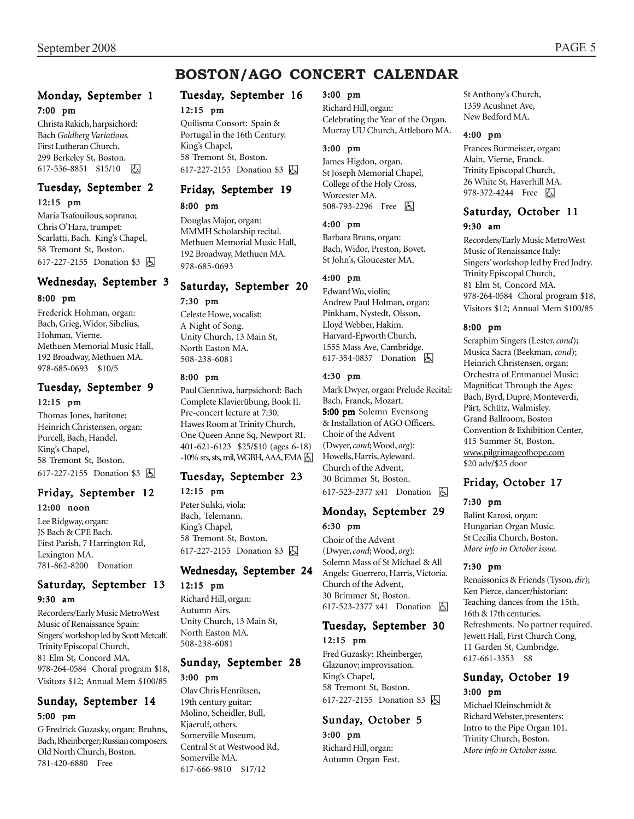# **BOSTON/AGO CONCERT CALENDAR**

#### Monday, September 1 7:00 pm

Christa Rakich, harpsichord: Bach *Goldberg Variations.* First Lutheran Church, 299 Berkeley St, Boston. 617-536-8851 \$15/10 因

#### Tuesday, September 2 12:15 pm

Maria Tsafouilous, soprano; Chris O'Hara, trumpet: Scarlatti, Bach. King's Chapel, 58 Tremont St, Boston. 617-227-2155 Donation \$3 因

#### Wednesday, September 3

#### 8:00 pm

Frederick Hohman, organ: Bach, Grieg, Widor, Sibelius, Hohman, Vierne. Methuen Memorial Music Hall, 192 Broadway, Methuen MA. 978-685-0693 \$10/5

#### Tuesday, September 9 12:15 pm

Thomas Jones, baritone; Heinrich Christensen, organ: Purcell, Bach, Handel. King's Chapel, 58 Tremont St, Boston. 617-227-2155 Donation \$3 h

#### Friday, September 12 12:00 noon

Lee Ridgway, organ: JS Bach & CPE Bach. First Parish, 7 Harrington Rd, Lexington MA. 781-862-8200 Donation

#### Saturday, September 13 9:30 am

Recorders/Early Music MetroWest Music of Renaissance Spain: Singers' workshop led by Scott Metcalf. Trinity Episcopal Church, 81 Elm St, Concord MA. 978-264-0584 Choral program \$18, Visitors \$12; Annual Mem \$100/85

### Sunday, September 14 5:00 pm

G Fredrick Guzasky, organ: Bruhns, Bach, Rheinberger; Russian composers. Old North Church, Boston. 781-420-6880 Free

# Tuesday, September 16 12:15 pm

Quilisma Consort: Spain & Portugal in the 16th Century. King's Chapel, 58 Tremont St, Boston. 617-227-2155 Donation \$3 因

# Friday, September 19

# 8:00 pm

Douglas Major, organ: MMMH Scholarship recital. Methuen Memorial Music Hall, 192 Broadway, Methuen MA. 978-685-0693

# Saturday, September 20 7:30 pm

Celeste Howe, vocalist: A Night of Song. Unity Church, 13 Main St, North Easton MA. 508-238-6081

#### 8:00 pm

Paul Cienniwa, harpsichord: Bach Complete Klavierübung, Book II. Pre-concert lecture at 7:30. Hawes Room at Trinity Church, One Queen Anne Sq, Newport RI. 401-621-6123 \$25/\$10 (ages 6-18)  $-10\%$  srs, sts, mil, WGBH, AAA, EMA $\boxtimes$ 

#### Tuesday, September 23 12:15 pm

Peter Sulski, viola: Bach, Telemann. King's Chapel, 58 Tremont St, Boston. 617-227-2155 Donation \$3 | A

#### Wednesday, September 24

#### 12:15 pm

Richard Hill, organ: Autumn Airs. Unity Church, 13 Main St, North Easton MA. 508-238-6081

#### Sunday, September 28 3:00 pm

Olav Chris Henriksen, 19th century guitar: Molino, Scheidler, Bull, Kjaerulf, others. Somerville Museum, Central St at Westwood Rd, Somerville MA. 617-666-9810 \$17/12

#### 3:00 pm

Richard Hill, organ: Celebrating the Year of the Organ. Murray UU Church, Attleboro MA.

#### 3:00 pm

James Higdon, organ. St Joseph Memorial Chapel, College of the Holy Cross, Worcester MA. 508-793-2296 Free **b** 

#### 4:00 pm

Barbara Bruns, organ: Bach, Widor, Preston, Bovet. St John's, Gloucester MA.

#### 4:00 pm

Edward Wu, violin; Andrew Paul Holman, organ: Pinkham, Nystedt, Olsson, Lloyd Webber, Hakim. Harvard-Epworth Church, 1555 Mass Ave, Cambridge. 617-354-0837 Donation  $\boxed{6}$ 

#### 4:30 pm

Mark Dwyer, organ: Prelude Recital: Bach, Franck, Mozart. 5:00 pm Solemn Evensong & Installation of AGO Officers. Choir of the Advent (Dwyer, *cond*; Wood, *org*): Howells, Harris, Ayleward. Church of the Advent, 30 Brimmer St, Boston. 617-523-2377 x41 Donation **b** 

#### Monday, September 29 6:30 pm

Choir of the Advent (Dwyer, *cond*; Wood, *org*): Solemn Mass of St Michael & All Angels: Guerrero, Harris, Victoria. Church of the Advent, 30 Brimmer St, Boston. 617-523-2377 x41 Donation **b** 

#### Tuesday, September 30 12:15 pm

Fred Guzasky: Rheinberger, Glazunov; improvisation. King's Chapel, 58 Tremont St, Boston. 617-227-2155 Donation \$3 [6]

#### Sunday, October 5 3:00 pm

Richard Hill, organ: Autumn Organ Fest. St Anthony's Church, 1359 Acushnet Ave, New Bedford MA.

#### 4:00 pm

Frances Burmeister, organ: Alain, Vierne, Franck. Trinity Episcopal Church, 26 White St, Haverhill MA. 978-372-4244 Free **b** 

#### Saturday, October 11 9:30 am

Recorders/Early Music MetroWest Music of Renaissance Italy: Singers' workshop led by Fred Jodry. Trinity Episcopal Church, 81 Elm St, Concord MA. 978-264-0584 Choral program \$18, Visitors \$12; Annual Mem \$100/85

#### 8:00 pm

Seraphim Singers (Lester, *cond*); Musica Sacra (Beekman, *cond*); Heinrich Christensen, organ; Orchestra of Emmanuel Music: Magnificat Through the Ages: Bach, Byrd, Dupré, Monteverdi, Pärt, Schütz, Walmisley. Grand Ballroom, Boston Convention & Exhibition Center, 415 Summer St, Boston. www.pilgrimageofhope.com \$20 adv/\$25 door

#### Friday, October 17

#### 7:30 pm

Balint Karosi, organ: Hungarian Organ Music. St Cecilia Church, Boston. *More info in October issue.*

#### 7:30 pm

Renaissonics & Friends (Tyson, *dir*); Ken Pierce, dancer/historian: Teaching dances from the 15th, 16th & 17th centuries. Refreshments. No partner required. Jewett Hall, First Church Cong, 11 Garden St, Cambridge. 617-661-3353 \$8

#### Sunday, October 19 3:00 pm

Michael Kleinschmidt & Richard Webster, presenters: Intro to the Pipe Organ 101. Trinity Church, Boston. *More info in October issue.*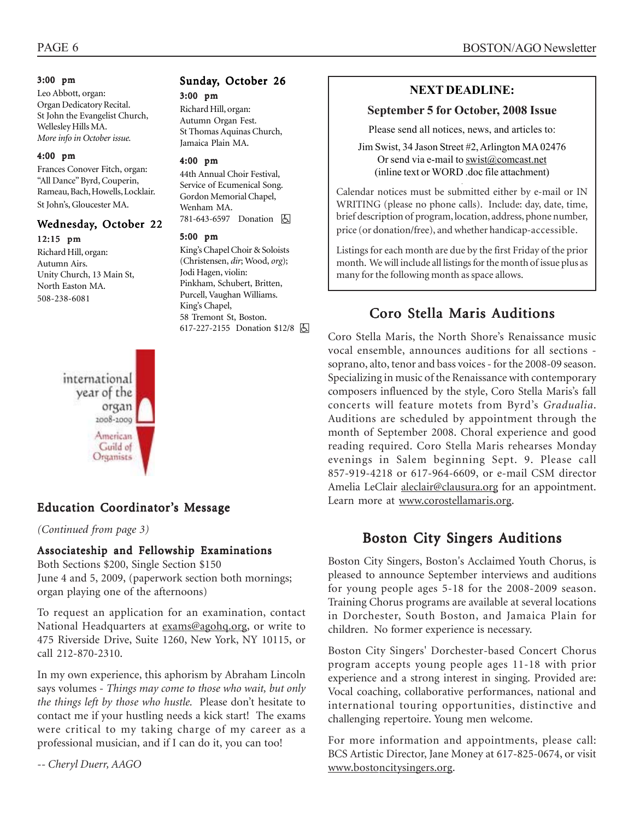#### 3:00 pm

Leo Abbott, organ: Organ Dedicatory Recital. St John the Evangelist Church, Wellesley Hills MA. *More info in October issue.*

#### 4:00 pm

Frances Conover Fitch, organ: "All Dance" Byrd, Couperin, Rameau, Bach, Howells, Locklair. St John's, Gloucester MA.

#### Wednesday, October 22 12:15 pm

Richard Hill, organ: Autumn Airs. Unity Church, 13 Main St, North Easton MA. 508-238-6081



*(Continued from page 3)*

# Associateship and Fellowship Examinations

Both Sections \$200, Single Section \$150 June 4 and 5, 2009, (paperwork section both mornings; organ playing one of the afternoons)

To request an application for an examination, contact National Headquarters at exams@agohq.org, or write to 475 Riverside Drive, Suite 1260, New York, NY 10115, or call 212-870-2310.

In my own experience, this aphorism by Abraham Lincoln says volumes - *Things may come to those who wait, but only the things left by those who hustle.* Please don't hesitate to contact me if your hustling needs a kick start! The exams were critical to my taking charge of my career as a professional musician, and if I can do it, you can too!

*-- Cheryl Duerr, AAGO*

#### Sunday, October 26 3:00 pm

Richard Hill, organ: Autumn Organ Fest. St Thomas Aquinas Church, Jamaica Plain MA.

#### 4:00 pm

44th Annual Choir Festival, Service of Ecumenical Song. Gordon Memorial Chapel, Wenham MA. 781-643-6597 Donation **A** 

#### 5:00 pm

King's Chapel Choir & Soloists (Christensen, *dir*; Wood, *org*); Jodi Hagen, violin: Pinkham, Schubert, Britten, Purcell, Vaughan Williams. King's Chapel, 58 Tremont St, Boston. 617-227-2155 Donation \$12/8 囚

# **NEXT DEADLINE:**

#### **September 5 for October, 2008 Issue**

Please send all notices, news, and articles to:

Jim Swist, 34 Jason Street #2, Arlington MA 02476 Or send via e-mail to swist@comcast.net (inline text or WORD .doc file attachment)

Calendar notices must be submitted either by e-mail or IN WRITING (please no phone calls). Include: day, date, time, brief description of program, location, address, phone number, price (or donation/free), and whether handicap-accessible.

Listings for each month are due by the first Friday of the prior month. We will include all listings for the month of issue plus as many for the following month as space allows.

# Coro Stella Maris Auditions

Coro Stella Maris, the North Shore's Renaissance music vocal ensemble, announces auditions for all sections soprano, alto, tenor and bass voices - for the 2008-09 season. Specializing in music of the Renaissance with contemporary composers influenced by the style, Coro Stella Maris's fall concerts will feature motets from Byrd's *Gradualia*. Auditions are scheduled by appointment through the month of September 2008. Choral experience and good reading required. Coro Stella Maris rehearses Monday evenings in Salem beginning Sept. 9. Please call 857-919-4218 or 617-964-6609, or e-mail CSM director Amelia LeClair aleclair@clausura.org for an appointment. Education Coordinator's Message Learn more at www.corostellamaris.org.

# Boston City Singers Auditions

Boston City Singers, Boston's Acclaimed Youth Chorus, is pleased to announce September interviews and auditions for young people ages 5-18 for the 2008-2009 season. Training Chorus programs are available at several locations in Dorchester, South Boston, and Jamaica Plain for children. No former experience is necessary.

Boston City Singers' Dorchester-based Concert Chorus program accepts young people ages 11-18 with prior experience and a strong interest in singing. Provided are: Vocal coaching, collaborative performances, national and international touring opportunities, distinctive and challenging repertoire. Young men welcome.

For more information and appointments, please call: BCS Artistic Director, Jane Money at 617-825-0674, or visit www.bostoncitysingers.org.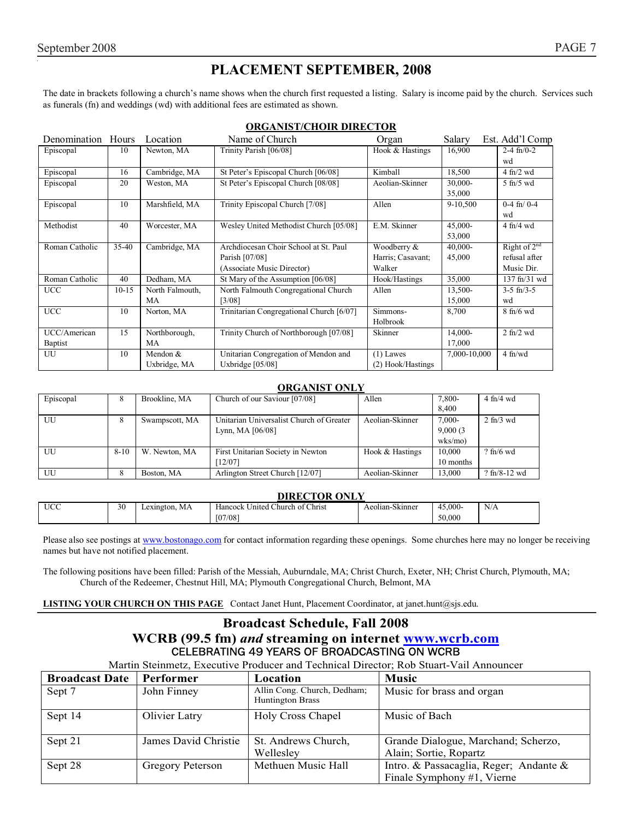# **PLACEMENT SEPTEMBER, 2008**

The date in brackets following a church's name shows when the church first requested a listing. Salary is income paid by the church. Services such as funerals (fn) and weddings (wd) with additional fees are estimated as shown.

|                    |           |                 | oron de l'enont dinde l'on               |                   |              |                   |
|--------------------|-----------|-----------------|------------------------------------------|-------------------|--------------|-------------------|
| Denomination Hours |           | Location        | Name of Church                           | Organ             | Salary       | Est. Add'l Comp   |
| Episcopal          | 10        | Newton, MA      | Trinity Parish [06/08]                   | Hook & Hastings   | 16,900       | $2-4$ fn/0-2      |
|                    |           |                 |                                          |                   |              | wd                |
| Episcopal          | 16        | Cambridge, MA   | St Peter's Episcopal Church [06/08]      | Kimball           | 18,500       | $4$ fn/2 wd       |
| Episcopal          | 20        | Weston, MA      | St Peter's Episcopal Church [08/08]      | Aeolian-Skinner   | 30,000-      | $5$ fn/ $5$ wd    |
|                    |           |                 |                                          |                   | 35,000       |                   |
| Episcopal          | 10        | Marshfield, MA  | Trinity Episcopal Church [7/08]          | Allen             | 9-10,500     | $0-4$ fn/ $0-4$   |
|                    |           |                 |                                          |                   |              | wd                |
| Methodist          | 40        | Worcester, MA   | Wesley United Methodist Church [05/08]   | E.M. Skinner      | 45,000-      | $4$ fn/ $4$ wd    |
|                    |           |                 |                                          |                   | 53,000       |                   |
| Roman Catholic     | $35 - 40$ | Cambridge, MA   | Archdiocesan Choir School at St. Paul    | Woodberry &       | 40,000-      | Right of $2^{nd}$ |
|                    |           |                 | Parish [07/08]                           | Harris; Casavant; | 45,000       | refusal after     |
|                    |           |                 | (Associate Music Director)               | Walker            |              | Music Dir.        |
| Roman Catholic     | 40        | Dedham, MA      | St Mary of the Assumption [06/08]        | Hook/Hastings     | 35,000       | 137 fn/31 wd      |
| <b>UCC</b>         | $10-15$   | North Falmouth, | North Falmouth Congregational Church     | Allen             | 13,500-      | $3-5$ fn/ $3-5$   |
|                    |           | MA              | [3/08]                                   |                   | 15,000       | wd                |
| <b>UCC</b>         | 10        | Norton, MA      | Trinitarian Congregational Church [6/07] | Simmons-          | 8,700        | $8$ fn/6 wd       |
|                    |           |                 |                                          | Holbrook          |              |                   |
| UCC/American       | 15        | Northborough,   | Trinity Church of Northborough [07/08]   | Skinner           | 14,000-      | $2$ fn/ $2$ wd    |
| Baptist            |           | MA              |                                          |                   | 17,000       |                   |
| UU                 | 10        | Mendon &        | Unitarian Congregation of Mendon and     | $(1)$ Lawes       | 7,000-10,000 | $4$ fn/wd         |
|                    |           | Uxbridge, MA    | Uxbridge $[05/08]$                       | (2) Hook/Hastings |              |                   |

#### **ORGANIST/CHOIR DIRECTOR**

#### **ORGANIST ONLY**

| Episcopal | 8        | Brookline, MA  | Church of our Saviour [07/08]            | Allen           | 7,800-        | $4$ fn/ $4$ wd       |
|-----------|----------|----------------|------------------------------------------|-----------------|---------------|----------------------|
|           |          |                |                                          |                 | 8.400         |                      |
| UU        | 8        | Swampscott, MA | Unitarian Universalist Church of Greater | Aeolian-Skinner | $7,000-$      | $2 \text{ ft}$ /3 wd |
|           |          |                | Lynn, MA $[06/08]$                       |                 | 9,000(3)      |                      |
|           |          |                |                                          |                 | $w$ ks/mo $)$ |                      |
| UU        | $8 - 10$ | W. Newton, MA  | First Unitarian Society in Newton        | Hook & Hastings | 10.000        | $?$ fn/6 wd          |
|           |          |                | 12/071                                   |                 | 10 months     |                      |
| UU        | 8        | Boston, MA     | Arlington Street Church [12/07]          | Aeolian-Skinner | 13.000        | $?$ fn/8-12 wd       |

|            | <b>DIRECTOR ONLY</b> |               |                                 |                 |         |     |  |  |
|------------|----------------------|---------------|---------------------------------|-----------------|---------|-----|--|--|
| <b>UCC</b> | 30                   | Lexington, MA | Hancock United Church of Christ | Aeolian-Skinner | 45,000- | N/A |  |  |
|            |                      |               | [07/08]                         |                 | 50,000  |     |  |  |

Please also see postings at www.bostonago.com for contact information regarding these openings. Some churches here may no longer be receiving names but have not notified placement.

The following positions have been filled: Parish of the Messiah, Auburndale, MA; Christ Church, Exeter, NH; Christ Church, Plymouth, MA; Church of the Redeemer, Chestnut Hill, MA; Plymouth Congregational Church, Belmont, MA

**LISTING YOUR CHURCH ON THIS PAGE** Contact Janet Hunt, Placement Coordinator, at janet.hunt@sjs.edu.

#### **Broadcast Schedule, Fall 2008 WCRB (99.5 fm)** *and* **streaming on internet www.wcrb.com** CELEBRATING 49 YEARS OF BROADCASTING ON WCRB

Martin Steinmetz, Executive Producer and Technical Director; Rob Stuart-Vail Announcer

| <b>Broadcast Date</b> | <b>Performer</b>     | Location                                               | <b>Music</b>                           |
|-----------------------|----------------------|--------------------------------------------------------|----------------------------------------|
| Sept 7                | John Finney          | Allin Cong. Church, Dedham;<br><b>Huntington Brass</b> | Music for brass and organ              |
| Sept 14               | Olivier Latry        | Holy Cross Chapel                                      | Music of Bach                          |
| Sept 21               | James David Christie | St. Andrews Church,                                    | Grande Dialogue, Marchand; Scherzo,    |
|                       |                      | Wellesley                                              | Alain; Sortie, Ropartz                 |
| Sept 28               | Gregory Peterson     | Methuen Music Hall                                     | Intro. & Passacaglia, Reger; Andante & |
|                       |                      |                                                        | Finale Symphony #1, Vierne             |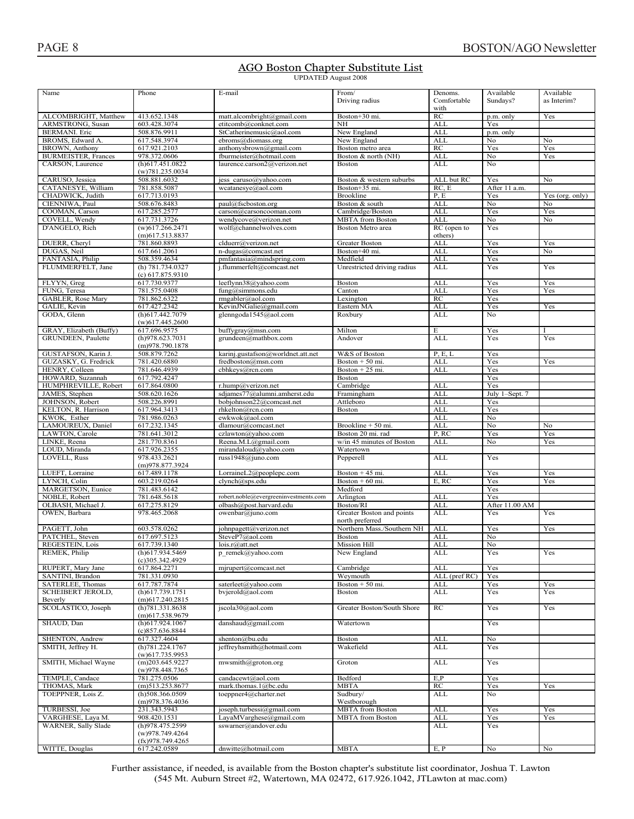# AGO Boston Chapter Substitute List

| TWO DOSton Chapter Dabstrate List<br><b>UPDATED August 2008</b>                                                                                                                                                                                                                                                                                                                                                                                                            |  |
|----------------------------------------------------------------------------------------------------------------------------------------------------------------------------------------------------------------------------------------------------------------------------------------------------------------------------------------------------------------------------------------------------------------------------------------------------------------------------|--|
| $\frac{1}{2} \left( \frac{1}{2} \right) \left( \frac{1}{2} \right) \left( \frac{1}{2} \right) \left( \frac{1}{2} \right) \left( \frac{1}{2} \right) \left( \frac{1}{2} \right) \left( \frac{1}{2} \right) \left( \frac{1}{2} \right) \left( \frac{1}{2} \right) \left( \frac{1}{2} \right) \left( \frac{1}{2} \right) \left( \frac{1}{2} \right) \left( \frac{1}{2} \right) \left( \frac{1}{2} \right) \left( \frac{1}{2} \right) \left( \frac{1}{2} \right) \left( \frac$ |  |

| Name                                      | Phone                                    | E-mail                                         | From/                       | Denoms.                  | Available       | Available       |
|-------------------------------------------|------------------------------------------|------------------------------------------------|-----------------------------|--------------------------|-----------------|-----------------|
|                                           |                                          |                                                | Driving radius              | Comfortable              | Sundays?        | as Interim?     |
|                                           |                                          |                                                |                             | with                     |                 |                 |
| ALCOMBRIGHT, Matthew                      | 413.652.1348                             | matt.alcombright@gmail.com                     | Boston+30 mi.               | RC                       | p.m. only       | Yes             |
| ARMSTRONG, Susan                          | 603.428.3074                             | etitcomb@conknet.com                           | <b>NH</b>                   | <b>ALL</b>               | Yes             |                 |
| <b>BERMANI</b> . Eric<br>BROMS, Edward A. | 508.876.9911<br>617.548.3974             | StCatherinemusic@aol.com<br>ebroms@diomass.org | New England<br>New England  | <b>ALL</b><br><b>ALL</b> | p.m. only<br>No | No              |
| BROWN, Anthony                            | 617.921.2103                             | anthonysbrown@gmail.com                        | Boston metro area           | RC                       | Yes             | Yes             |
| <b>BURMEISTER, Frances</b>                | 978.372.0606                             | fburmeister@hotmail.com                        | Boston & north (NH)         | <b>ALL</b>               | No              | Yes             |
| CARSON, Laurence                          | (h)617.451.0822                          | laurence.carson2@verizon.net                   | <b>Boston</b>               | ALL                      | N <sub>0</sub>  |                 |
|                                           | (w)781.235.0034                          |                                                |                             |                          |                 |                 |
| CARUSO, Jessica                           | 508.881.6032                             | jess caruso@yahoo.com                          | Boston & western suburbs    | ALL but RC               | Yes             | No              |
| CATANESYE, William                        | 781.858.5087                             | wcatanesye@aol.com                             | Boston+35 mi.               | RC, E                    | After 11 a.m.   |                 |
| CHADWICK, Judith                          | 617.713.0193                             |                                                | <b>Brookline</b>            | P.E                      | Yes             | Yes (org. only) |
| CIENNIWA, Paul                            | 508.676.8483                             | paul@fscboston.org                             | Boston & south              | <b>ALL</b>               | No              | No              |
| COOMAN, Carson                            | 617.285.2577                             | carson@carsoncooman.com                        | Cambridge/Boston            | <b>ALL</b>               | Yes             | Yes             |
| COVELL, Wendy                             | 617.731.3726                             | wendycove@verizon.net                          | <b>MBTA</b> from Boston     | ALL                      | No              | No              |
| D'ANGELO, Rich                            | $(w)$ 617.266.2471                       | wolf@channelwolves.com                         | Boston Metro area           | RC (open to              | Yes             |                 |
|                                           | $(m)$ 617.513.8837                       |                                                |                             | others)                  |                 |                 |
| DUERR, Cheryl                             | 781.860.8893                             | clduerr@verizon.net                            | Greater Boston              | <b>ALL</b>               | Yes             | Yes             |
| DUGAS, Neil                               | 617.661.2061                             | n-dugas@comcast.net                            | Boston+40 mi.               | <b>ALL</b>               | Yes             | No              |
| FANTASIA, Philip                          | 508.359.4634                             | pmfantasia@mindspring.com                      | Medfield                    | <b>ALL</b>               | Yes             |                 |
| FLUMMERFELT, Jane                         | (h) 781.734.0327                         | j.flummerfelt@comcast.net                      | Unrestricted driving radius | <b>ALL</b>               | Yes             | Yes             |
|                                           | (c) 617.875.9310                         |                                                |                             |                          |                 |                 |
| FLYYN, Greg                               | 617.730.9377                             | leeflynn38@yahoo.com                           | Boston                      | <b>ALL</b>               | Yes             | Yes             |
| FUNG, Teresa                              | 781.575.0408                             | fung@simmons.edu                               | Canton                      | <b>ALL</b>               | Yes             | Yes             |
| GABLER, Rose Mary                         | 781.862.6322                             | rmgabler@aol.com                               | Lexington                   | RC                       | Yes             |                 |
| GALIE, Kevin                              | 617.427.2342                             | KevinJNGalie@gmail.com                         | Eastern MA                  | <b>ALL</b>               | Yes             | Yes             |
| GODA, Glenn                               | (h)617.442.7079                          | glenngoda1545@aol.com                          | Roxbury                     | <b>ALL</b>               | No              |                 |
|                                           | $(w)$ 617.445.2600                       |                                                |                             |                          |                 |                 |
| GRAY, Elizabeth (Buffy)                   | 617.696.9575                             | buffygray@msn.com                              | Milton                      | E                        | Yes             |                 |
| GRUNDEEN, Paulette                        | (h)978.623.7031                          | grundeen@mathbox.com                           | Andover                     | <b>ALL</b>               | Yes             | Yes             |
|                                           | (m)978.790.1878                          |                                                |                             |                          |                 |                 |
| GUSTAFSON, Karin J.                       | 508.879.7262                             | karinj.gustafson@worldnet.att.net              | W&S of Boston               | P, E, L                  | Yes             |                 |
| GUZASKY, G. Fredrick                      | 781.420.6880                             | fredboston@msn.com                             | Boston $+50$ mi.            | <b>ALL</b>               | Yes             | Yes             |
| HENRY, Colleen                            | 781.646.4939                             | cbhkeys@rcn.com                                | Boston $+25$ mi.            | <b>ALL</b>               | Yes             |                 |
| HOWARD, Suzannah                          | 617.792.4247                             |                                                | Boston                      |                          | Yes             |                 |
| HUMPHREVILLE, Robert                      | 617.864.0800                             | r.hump@verizon.net                             | Cambridge                   | <b>ALL</b>               | Yes             |                 |
| JAMES, Stephen                            | 508.620.1626                             | sdjames77@alumni.amherst.edu                   | Framingham                  | <b>ALL</b>               | July 1-Sept. 7  |                 |
| JOHNSON, Robert                           | 508.226.8991                             | bobjohnson22@comcast.net                       | Attleboro                   | <b>ALL</b>               | Yes             |                 |
| KELTON, R. Harrison                       | 617.964.3413                             | rhkelton@rcn.com                               | Boston                      | ALL                      | Yes             |                 |
|                                           |                                          |                                                |                             |                          |                 |                 |
| KWOK, Esther                              | 781.986.0263                             | ewkwok@aol.com                                 |                             | <b>ALL</b>               | No              |                 |
| LAMOUREUX, Daniel                         | 617.232.1345                             | dlamour@comcast.net                            | Brookline + 50 mi.          | <b>ALL</b>               | No              | No              |
| LAWTON, Carole                            | 781.641.3012                             | czlawton@yahoo.com                             | Boston 20 mi. rad           | P, RC                    | Yes             | Yes             |
| LINKE, Reena                              | 281.770.8361                             | Reena.M.L@gmail.com                            | w/in 45 minutes of Boston   | <b>ALL</b>               | No              | Yes             |
| LOUD, Miranda                             | 617.926.2355                             | mirandaloud@yahoo.com                          | Watertown                   |                          |                 |                 |
| LOVELL, Russ                              | 978.433.2621                             | russ1948@juno.com                              | Pepperell                   | <b>ALL</b>               | Yes             |                 |
|                                           | (m)978.877.3924                          |                                                |                             |                          |                 |                 |
| LUEFT, Lorraine                           | 617.489.1178                             | LorraineL2@peoplepc.com                        | Boston $+45$ mi.            | <b>ALL</b>               | Yes             | Yes             |
| LYNCH, Colin                              | 603.219.0264                             | clynch@sps.edu                                 | Boston $+60$ mi.            | E, RC                    | Yes             | Yes             |
| MARGETSON, Eunice                         | 781.483.6142                             |                                                | Medford                     |                          | Yes             |                 |
| NOBLE, Robert                             | 781.648.5618                             | robert.noble@evergreeninvestments.com          | Arlington                   | <b>ALL</b>               | Yes             |                 |
| OLBASH, Michael J.                        | 617.275.8129                             | olbash@post.harvard.edu                        | Boston/RI                   | <b>ALL</b>               | After 11.00 AM  |                 |
| OWEN, Barbara                             | 978.465.2068                             | owenbar@juno.com                               | Greater Boston and points   | <b>ALL</b>               | Yes             | Yes             |
|                                           |                                          |                                                | north preferred             |                          |                 |                 |
| PAGETT, John                              | 603.578.0262                             | johnpagett@verizon.net                         | Northern Mass./Southern NH  | <b>ALL</b>               | Yes             | Yes             |
| PATCHEL, Steven                           | 617.697.5123                             | SteveP7@aol.com                                | Boston                      | <b>ALL</b>               | No              |                 |
| REGESTEIN, Lois                           | 617.739.1340                             | lois.r@att.net                                 | <b>Mission Hill</b>         | <b>ALL</b>               | No              |                 |
| REMEK, Philip                             | (h)617.934.5469                          | p_remek@yahoo.com                              | New England                 | ALL                      | Yes             | Yes             |
|                                           | $(c)$ 305.342.4929                       |                                                |                             |                          |                 |                 |
| RUPERT, Mary Jane                         | 617.864.2271                             | mjrupert@comcast.net                           | Cambridge                   | <b>ALL</b>               | Yes             |                 |
| SANTINI, Brandon                          | 781.331.0930                             |                                                | Weymouth                    | ALL (pref RC)            | Yes             |                 |
| SATERLEE, Thomas                          | 617.787.7874                             | saterleet@yahoo.com                            | Boston + 50 mi.             | ALL                      | Yes             | Yes             |
| <b>SCHEIBERT JEROLD,</b>                  | (h)617.739.1751                          | bvjerold@aol.com                               | <b>Boston</b>               | ALL                      | Yes             | Yes             |
| Beverly                                   | $(m)$ 617.240.2815                       |                                                |                             |                          |                 |                 |
| SCOLASTICO, Joseph                        | (h)781.331.8638                          | jscola30@aol.com                               | Greater Boston/South Shore  | RC                       | Yes             | Yes             |
|                                           | (m)617.538.9679                          |                                                |                             |                          |                 |                 |
| SHAUD, Dan                                | $(h)$ 617.924.1067                       | danshaud@gmail.com                             | Watertown                   |                          | Yes             |                 |
|                                           | (c)857.636.8844                          |                                                |                             |                          |                 |                 |
| SHENTON, Andrew                           | 617.327.4604                             | shenton@bu.edu                                 | Boston                      | <b>ALL</b>               | No              |                 |
| SMITH, Jeffrey H.                         | (h)781.224.1767                          | jeffreyhsmith@hotmail.com                      | Wakefield                   | ALL                      | Yes             |                 |
|                                           | $(w)$ 617.735.9953                       |                                                |                             |                          |                 |                 |
| SMITH, Michael Wayne                      | $(m)$ 203.645.9227                       | mwsmith@groton.org                             | Groton                      | ALL                      | Yes             |                 |
|                                           | (w)978.448.7365                          |                                                |                             |                          |                 |                 |
| TEMPLE, Candace                           | 781.275.0506                             | candacewt@aol.com                              | Bedford                     | E, P                     | Yes             |                 |
| THOMAS, Mark                              | $(m)$ 513.253.8677<br>$(h)$ 508.366.0509 | mark.thomas.1@bc.edu                           | <b>MBTA</b><br>Sudbury/     | RC                       | Yes<br>No       | Yes             |
| TOEPPNER, Lois Z.                         | (m)978.376.4036                          | toeppner4@charter.net                          | Westborough                 | ALL                      |                 |                 |
| TURBESSI, Joe                             | 231.343.5943                             | joseph.turbessi@gmail.com                      | <b>MBTA</b> from Boston     | <b>ALL</b>               | Yes             | Yes             |
| VARGHESE, Laya M.                         |                                          | LayaMVarghese@gmail.com                        | <b>MBTA</b> from Boston     | <b>ALL</b>               | Yes             | Yes             |
| WARNER, Sally Slade                       | 908.420.1531<br>(h)978.475.2599          | sswarner@andover.edu                           |                             | ALL                      | Yes             |                 |
|                                           | (w)978.749.4264                          |                                                |                             |                          |                 |                 |
|                                           | (fx)978.749.4265<br>617.242.0589         |                                                |                             |                          |                 |                 |

Further assistance, if needed, is available from the Boston chapter's substitute list coordinator. Joshua T. Lawton (545 Mt. Auburn Street #2, Watertown, MA 02472, 617.926.1042, JTLawton at mac.com)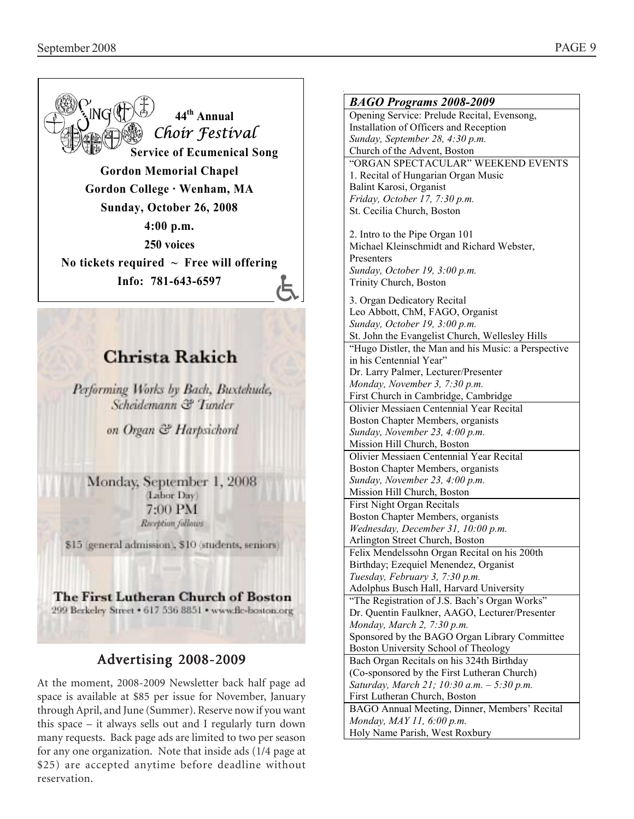

many requests. Back page ads are limited to two per season for any one organization. Note that inside ads (1/4 page at \$25) are accepted anytime before deadline without

reservation.

*BAGO Programs 2008-2009* Opening Service: Prelude Recital, Evensong, Installation of Officers and Reception *Sunday, September 28, 4:30 p.m.*  Church of the Advent, Boston "ORGAN SPECTACULAR" WEEKEND EVENTS 1. Recital of Hungarian Organ Music Balint Karosi, Organist *Friday, October 17, 7:30 p.m.*  St. Cecilia Church, Boston 2. Intro to the Pipe Organ 101 Michael Kleinschmidt and Richard Webster, Presenters *Sunday, October 19, 3:00 p.m.*  Trinity Church, Boston 3. Organ Dedicatory Recital Leo Abbott, ChM, FAGO, Organist *Sunday, October 19, 3:00 p.m.*  St. John the Evangelist Church, Wellesley Hills "Hugo Distler, the Man and his Music: a Perspective in his Centennial Year" Dr. Larry Palmer, Lecturer/Presenter *Monday, November 3, 7:30 p.m.*  First Church in Cambridge, Cambridge Olivier Messiaen Centennial Year Recital Boston Chapter Members, organists *Sunday, November 23, 4:00 p.m.*  Mission Hill Church, Boston Olivier Messiaen Centennial Year Recital Boston Chapter Members, organists *Sunday, November 23, 4:00 p.m.*  Mission Hill Church, Boston First Night Organ Recitals Boston Chapter Members, organists *Wednesday, December 31, 10:00 p.m.*  Arlington Street Church, Boston Felix Mendelssohn Organ Recital on his 200th Birthday; Ezequiel Menendez, Organist *Tuesday, February 3, 7:30 p.m.*  Adolphus Busch Hall, Harvard University "The Registration of J.S. Bach's Organ Works" Dr. Quentin Faulkner, AAGO, Lecturer/Presenter *Monday, March 2, 7:30 p.m.*  Sponsored by the BAGO Organ Library Committee Boston University School of Theology Bach Organ Recitals on his 324th Birthday (Co-sponsored by the First Lutheran Church) *Saturday, March 21; 10:30 a.m. – 5:30 p.m.*  First Lutheran Church, Boston BAGO Annual Meeting, Dinner, Members' Recital *Monday, MAY 11, 6:00 p.m.*  Holy Name Parish, West Roxbury